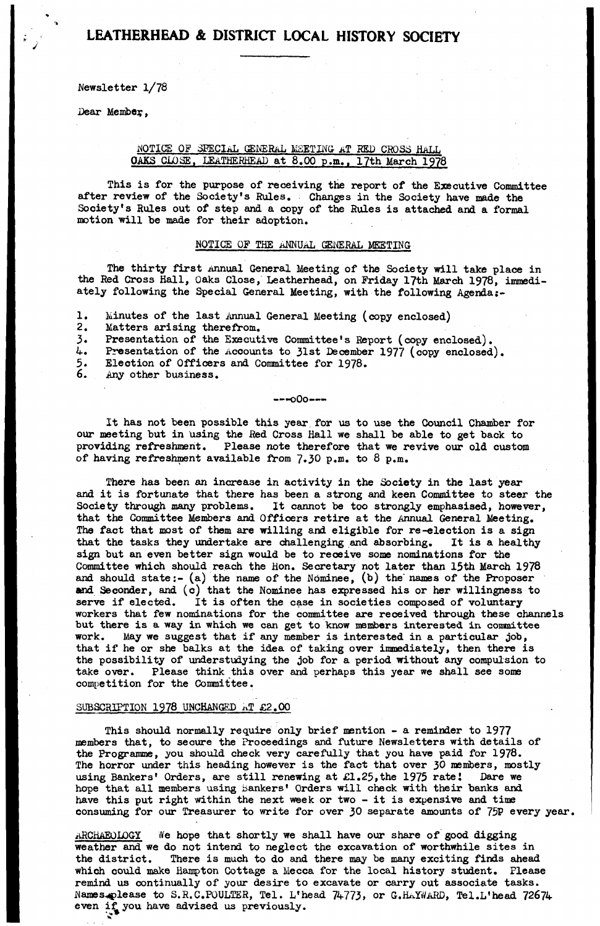**Newsletter 1/78**

**Dear Menibey,**

## **NOTICE OF SPECIAL GENERAL MEETING- a T RED CROSS HALL OAKS CLOSE, LEATHERHEAD at 8.00 p.m.. 17th March 1978**

**This is for the purpose of receiving the report of the Executive Committee after review of the Society's Rules. Changes in the Society have made the Society's Rules out of step and a copy of the Rules is attached and a formal motion will be made for their adoption.**

### **NOTICE OF THE ANNUAL GENERAL MEETING**

**The thirty first Annual General Meeting of the Society will take place in the Red Cross Hall, Oaks Close, Leatherhead, on Friday 17th March 1978, immediately following the Special General Meeting, with the following Agenda**

- **1. Minutes of the last Annual General Meeting (copy enclosed)**
- **2. Matters arising therefrom.**
- **3. Presentation of the Executive Committee's Report (copy enclosed).**
- 4. Presentation of the Accounts to 31st December 1977 (copy enclosed).<br>5. Election of Officers and Committee for 1978.<br>6. Any other business.
- **5. Election of Officers and Committee for 1978.**
- **6. Any other business.**

**-- oOo—**

**It has not been possible this year for us to use the Council Chamber for our meeting but in using the Red Cross Hall we shall be able to get back to providing refreshment. Please note therefore that we revive our old custom of having refreshment available from 7\*30 p.m. to 8 p.m.**

**There has been an increase in activity in the Society in the last year and it is fortunate that there has been a strong and keen Committee to steer the Society through many problems. It cannot be too strongly emphasised, however, that the Committee Members and Officers retire at the Annual General Meeting. The fact that most of them are willing and eligible for re-election is a sign that the tasks they undertake are challenging and absorbing. It is a healthy sign but an even better sign would be to receive some nominations for the Committee which should reach the Hon. Secretary not later than 15th March 1978 and should state:- (a) the name of the Nominee, (b) the' names of the Proposer and Seconder, and (c) that the Nominee has expressed his or her willingness to serve if elected. It is often the case in societies composed of voluntary workers that few nominations for the committee are received through these channels but there is a way in which we can get to know members interested in committee work. May we suggest that if any member is interested in a particular job, that if he or she balks at the idea of taking over immediately, then there is the possibility of understudying the job for a period without any compulsion to take over. Please think this over and perhaps this year we shall see some competition for the Committee.**

### **SUBSCRIPTION 1978 UNCHANGED AT £2.00**

**\***

**This should normally require only brief mention - a reminder to 1977 members that, to secure the Proceedings and future Newsletters with details of the Programme, you should check very carefully that you have paid for 1978.** The horror under this heading however is the fact that over 30 members, mostly **using Bankers' Orders, are still renewing at £1.25,the 1975 ratei Dare we hope that all members using bankers' Orders will check with their banks and have this put right within the next week or two - it is expensive and time consuming for our Treasurer to write for over 30 separate amounts of 75P every year.**

**ARCHAEOLOGY We hope that shortly we shall have our share of good digging weather and we do not intend to neglect the excavation of worthwhile sites in the district. There is much to do and there may be many exciting finds ahead which could make Hampton Cottage a Mecca for the local history student. Please remind us continually of your desire to excavate or carry out associate tasks, i'iames^please to S.R.C.P0ULTER, Tel. L'head 74773, or G.HaYZ/a RD, Tel.L'head 72674 even if you have advised us previously.**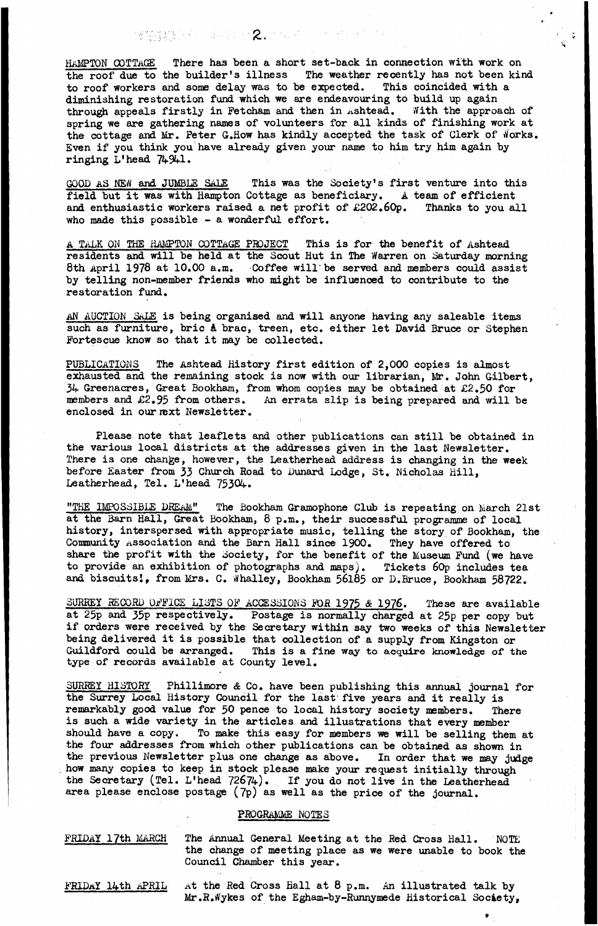解除機能量を ( ) ( ) ( ) ( ) ( ) 2. ビスズ コード・ビー・ビー

HAMPTON COTTAGE There has been a short set-back in connection with work on **the roof due to the builder's illness The weather recently has not been kind to roof workers and some delay was to be expected. This coincided with a diminishing restoration fund which we are endeavouring to build up again** through appeals firstly in Fetcham and then in *Ashtead.* With the approach of **spring we are gathering names of volunteers for all kinds of finishing work at** the cottage and Mr. Peter G.How has kindly accepted the task of Clerk of Works. **Even if you think you have already given your name to him try him again by ringing L'head 74941.**

**GOOD AS NEW and JUMBLE SALE This was the Society's first venture into this field but it was with Hampton Cottage as beneficiary. A team of efficient and enthusiastic workers raised a net profit of £202.60p. Thanks to you all who made this possible - a wonderful effort.**

**A TALK ON THE HAMPTON COTTAGE PROJECT This is for the benefit of Ashtead residents and will be held at the Scout Hut in The Warren on Saturday morning 8th April 1978 at 10.00 a.m. Coffee will'be served and members could assist by telling non-member friends who might be influenced to contribute to the restoration fund.**

**AN AUCTION SaLB is being organised and will anyone having any saleable items such as furniture, brie** *k* **brae, treen, etc. either let David Bruce or Stephen Fortescue know so that it may be collected.**

**PUBLICATIONS The Ashtead History first edition of 2,000 copies is almost exhausted and the remaining stock is now with our librarian, Mr. John Gilbert, 34 Greenacres, Great Bookh&m, from whom copies may be obtained at £2.50 for members and £2.95 from others. An errata slip is being prepared and will be** enclosed in our mext Newsletter.

**Please note that leaflets and other publications can still be obtained in the various local districts at the addresses given in the last Newsletter. There is one change, however, the Leatherhead address is changing in the week before Easter from 33 Church Road to Dunard Lodge, St. Nicholas Hill, Leatherhead, Tel. L'head 75304.**

**"THE IMPOSSIBLE DREaM" The Bookham Gramophone Club is repeating on March 21st at the Barn Hall, Great Bookham, 8 p.m., their successful programme of local history, interspersed with appropriate music, telling the story of Bookham, the Community Association and the Barn Hall since 1900. They have offered to** share the profit with the Society, for the benefit of the Museum Fund (we have **to provide an exhibition of photographs and maps). Tickets 60p includes tea and biscuitsi, from Mrs. C. Whalley, Bookham 56185 or D.Bruce, Bookham 58722.**

**SURREY HECORD OFFICE LISTS OF ACCESSIONS** *FOR* **1975** *&* **1976. These are available at 25p and 35p respectively. Postage is normally charged at 25p per copy but if orders were received by the Secretary within say two weeks of this Newsletter being delivered it is possible that collection of a supply from Kingston or Guildford could be arranged. This is a fine way to acquire knowledge of the type of records available at County level.**

**SURREY HISTORY Phillimore & Co. have been publishing this annual journal for the Surrey Local History Council for the last five years and it really is remarkably good value for 50 pence to local history society members. There is such a wide variety in the articles and illustrations that every member should have a copy. To make this easy for members we will be selling them at the four addresses from which other publications can be obtained as shown in the previous Newsletter plus one change as above. In order that we may judge how many copies to keep in stock please make your request initially through the Secretary (Tel. L'head 72674). If you do not live in the Leatherhead area please enclose postage (7p) as well as the price of the journal.**

## **PROGRAMME NOTES**

**FRIDAY 17th MARCH The Annual General Meeting at the Red Cross Hall. NOTE the change of meeting place as we were unable to book the Council Chamber this year.**

**FRIDaY 14th APRIL At the Red Cross Hall at 8 p.m. An illustrated talk by Mr.R.tfykes of the Egham-by-Runnymede Historical Society,**

**#** .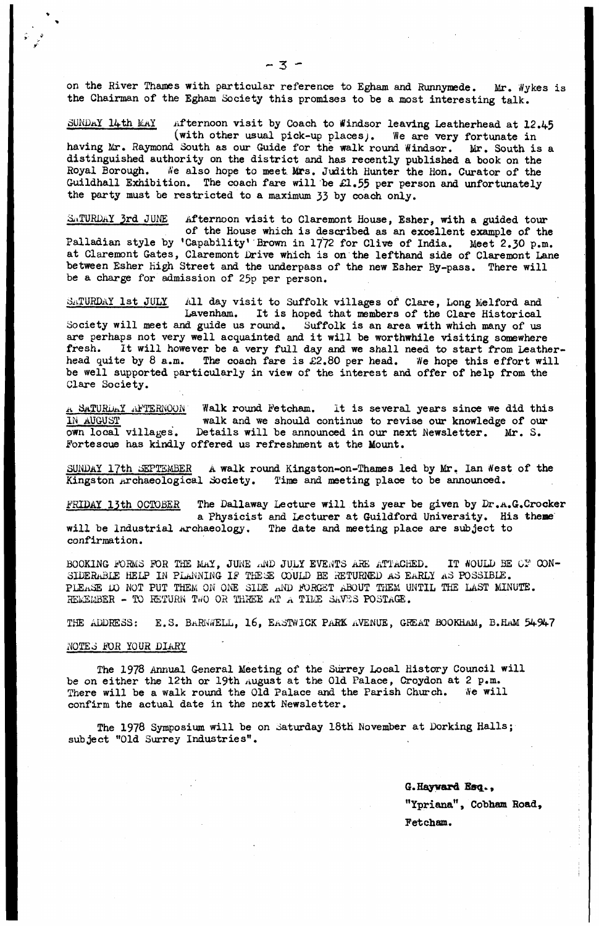**on the River Thames with particular reference to Egham and Runnymede. Mr. Wykes is the Chairman of the Egham Society this promises to be a most interesting talk.**

SUNDAY 14th MAY afternoon visit by Coach to Windsor leaving Leatherhead at 12.45 **(with other usual pick-up placesj. We are very fortunate in having Mr. Raymond South as our Guide for the walk round Windsor. Mr. South is a distinguished authority on the district and has recently published a book on the** Royal Borough. We also hope to meet. Mrs. Judith Hunter the Hon. Curator of the **Guildhall Exhibition. The coach fare will be £1.55 per person and unfortunately the party must be restricted to a maximum 33 by coach only.**

**GATURDAY 3rd JUNE** Afternoon visit to Claremont House, Esher, with a guided tour **of the House which is described as an excellent example of the Palladian style by 'Capability\* Brown in 1772 for Clive of India. Meet 2.30 p.m. at Claremont Gates, Claremont Drive which is on the lefthand side of Claremont Lane between Esher high Street and the underpass of the new Esher By-pass. There will be a charge for admission of 25p per person.**

**SATURDAY 1st JULY All day visit to Suffolk villages of Clare, Long Melford and Lavenham. It is hoped that members of the Clare Historical Society will meet and guide us round. Suffolk is an area with which many of us** are perhaps not very well acquainted and it will be worthwhile visiting somewhere fresh. It will however be a very full day and we shall need to start from leather It will however be a very full day and we shall need to start from Leather**head quite by 8 a.m. The coach fare is £2.80 per head. We hope this effort will be well supported particularly in view of the interest and offer of help from the Clare Society.**

**.a SaTURDa Y j^'TERNQON Walk round Fetcham. It is several years since we did this** IN AUGUST walk and we should continue to revise our knowledge of our own local villages. Details will be announced in our next Newsletter. Mr. S. Details will be announced in our next Newsletter. Mr. S. **Fortescue has kindly offered us refreshment at the Mount.**

**SUNDAY I7th SEPTEMBER A walk round Kingston-on-Thames led by Mr, Ian West of the Kingston Archaeological Society. Time and meeting place to be announced.**

**FRIDAY 13th OCTOBER The Dallaway Lecture will this year be given by Dr .a .G.Crocker a Physicist and Lecturer at Guildford University. His theme will be Industrial archaeology. The date and meeting place are subject to confirmation.**

BOOKING FORMS FOR THE MAY, JUNE AND JULY EVENTS ARE ATTACHED. IT WOULD BE CP CON-SIDERABLE HELP IN PLANNING IF THESE COULD BE RETURNED AS EARLY AS POSSIBLE. PLEASE DO NOT PUT THEM ON ONE SIDE AND FORGET ABOUT THEM UNTIL THE LAST MINUTE. REMEMBER - TO RETURN TWO OR THREE AT A TIME SAVES POSTAGE.

**THE ADDRESS: E.S. B\*RN«VELL, 16, Ea STWICK PARK AVENUE, GREAT BQOKHaM, B.HaM 54947**

## **NOTES BOB YOUR DIARY**

**The 1978 Annual General Meeting of the Surrey Local History Council will be on either the 12th or 19th August at the Old Palace, Croydon at 2 p.m.** There will be a walk round the Old Palace and the Parish Church. We will **confirm the actual date in the next Newsletter.**

**The 1978 Symposium will be on Saturday 18th November at Dorking Halls; subject "Old Surrey Industries".**

> **G.Hayvard Esq., "Ypriana", Cobham Road, Feteham.**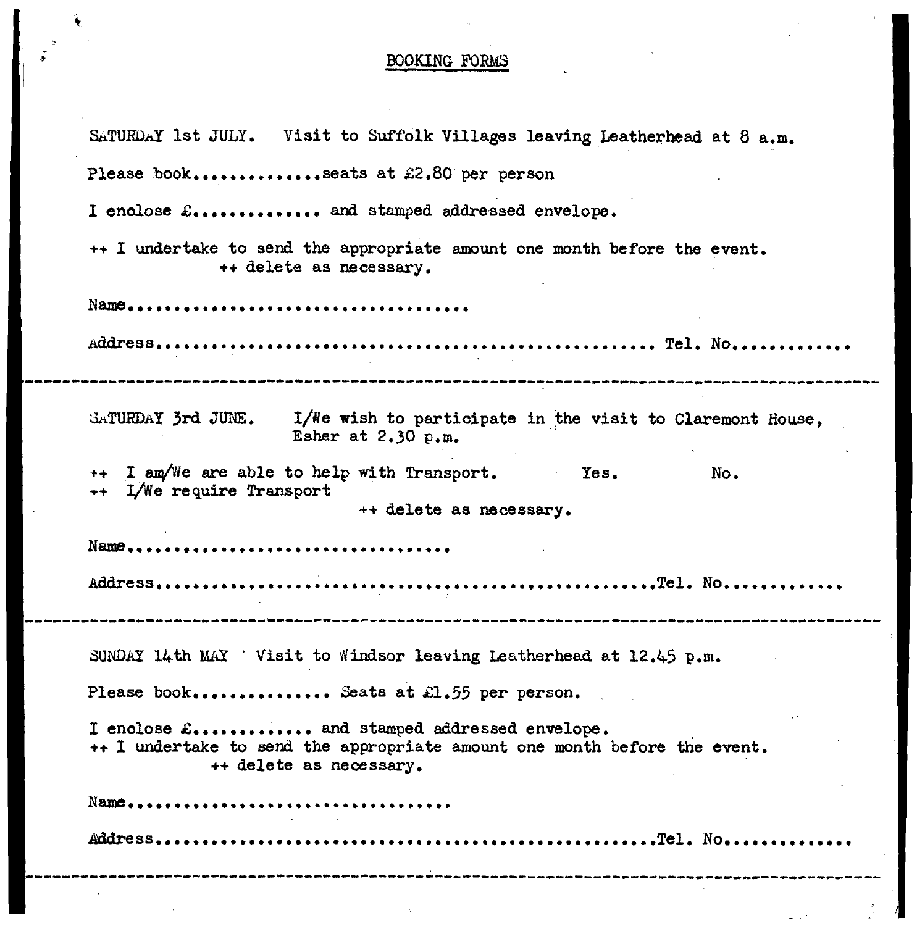## **BOOKING FORMS**

| SATURDAY 1st JULY. Visit to Suffolk Villages leaving Leatherhead at 8 a.m.                                                                            |  |  |  |
|-------------------------------------------------------------------------------------------------------------------------------------------------------|--|--|--|
| Please bookseats at £2.80 per person                                                                                                                  |  |  |  |
| I enclose $E$ and stamped addressed envelope.                                                                                                         |  |  |  |
| ++ I undertake to send the appropriate amount one month before the event.<br>++ delete as necessary.                                                  |  |  |  |
|                                                                                                                                                       |  |  |  |
|                                                                                                                                                       |  |  |  |
| SATURDAY 3rd JUNE. I/We wish to participate in the visit to Claremont House,<br>Esher at 2.30 p.m.                                                    |  |  |  |
| ++ I am/We are able to help with Transport. Yes.<br>No.<br>++ I/We require Transport<br>++ delete as necessary.                                       |  |  |  |
|                                                                                                                                                       |  |  |  |
|                                                                                                                                                       |  |  |  |
|                                                                                                                                                       |  |  |  |
|                                                                                                                                                       |  |  |  |
| SUNDAY 14th MAY 'Visit to Windsor leaving Leatherhead at $12.45$ p.m.                                                                                 |  |  |  |
| Please book Seats at £1.55 per person.                                                                                                                |  |  |  |
| I enclose $L$ and stamped addressed envelope.<br>++ I undertake to send the appropriate amount one month before the event.<br>++ delete as necessary. |  |  |  |
|                                                                                                                                                       |  |  |  |
|                                                                                                                                                       |  |  |  |
|                                                                                                                                                       |  |  |  |
|                                                                                                                                                       |  |  |  |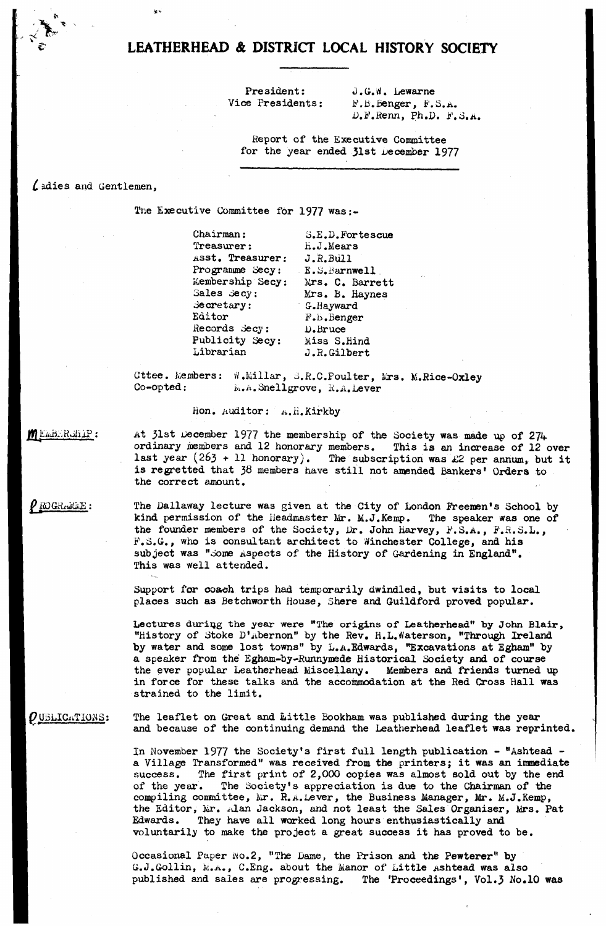President: **J.G.W.** Lewarne **Vice Presidents: P.B.Benger, P.S.a . D.F.fienn, Ph.D. Jj'.S.a .**

**Report of the Executive Committee** for the year ended 31st December 1977

## **R adies and Gentlemen,**

.<br>Statistica

**Tne Executive Committee for 1977 was:-**

**Chairman: Treasurer: jisst. Treasurer: Programme Secy: Membership Secy: Mrs. C. Barrett Sales Secy: .Secretary: Editor Records Secy***:* **Publicity Secy: Miss S.Hind Librarian o.E.D.Portescue h. J.Mears J.R.Bull E.3.Barnwell Mrs. B. Haynes G-.iiayward P.b.Benger D. Bruce J.R.Gilbert**

Cttee. Members: W.Millar, S.R.C.Poulter, Mrs. M.Rice-Oxley **Co-opted: k.A.Snellgrove, R.A.Lever**

### **Hon. Auditor: ^.H.Kirkby**

MEMBERGHIP:

 $\rho$  ROGRAMME:

**At 31st December 1977 the membership of the Society was made up of 274 ordinary members and 12 honorary members. This is an increase of 12 over** last year  $(263 + 11 \text{ honorary})$ . The subscription was £2 per annum, but it **is regretted that 38 members have still not amended Bankers' Orders to the correct amount.**

**The Dallaway lecture was given at the City of London Freemen's School by kind permission of the Headmaster Mr. M.J.Kemp. The speaker was one of the founder members of the Society, Dr. John Harvey, P.S.A., P.H.S.L., F.S.G., who is consultant architect to Winchester College, and his** subject was "Some aspects of the History of Gardening in England". **This was well attended.**

**Support for coach trips had temporarily dwindled, but visits to local places such as Betchworth House, Shere and Guildford proved popular.**

**Lectures during the year were "The origins of Leatherhead" by John Blair, "History of Stoke D'^bernon" by the Rev. H.L.Waterson, "Through Ireland by water and some lost towns" by L.a .Edwards, "Excavations at Egham" by a speaker from the Egham-by-Runnymede Historical Society and of course the ever popular Leatherhead Miscellany. Members and friends turned up in force for these talks and the accommodation at the Red Cross Hall was strained to the limit.**

**P UBLICATIONS: The leaflet on Great and Little Bookham was published during the year** and because of the continuing demand the Leatherhead leaflet was reprinted.

> **In November 1977 the Society's first full length publication - "Ashtead a Village Transformed" was received from the printers; it was an immediate success. The first print of 2,000 copies was almost sold out by the end of the year. The Society's appreciation is due to the Chairman of the compiling committee, Mr. R.a.Lever, the Business Manager, Mr. M.J.Kemp, the Editor, Mr. idan Jackson, and not least the Sales Organiser, Mrs. Pat Edwards. They have all worked long hours enthusiastically and voluntarily to make the project a great success it has proved to be.**

**Occasional Paper wo.2, "The Dame, the Prison and the Pewterer" by G.J.Gollin, fc.A., C.Eng. about the Manor of Little Ashtead was also published and sales are progressing. The 'Proceedings', Vol.3 No.10 was**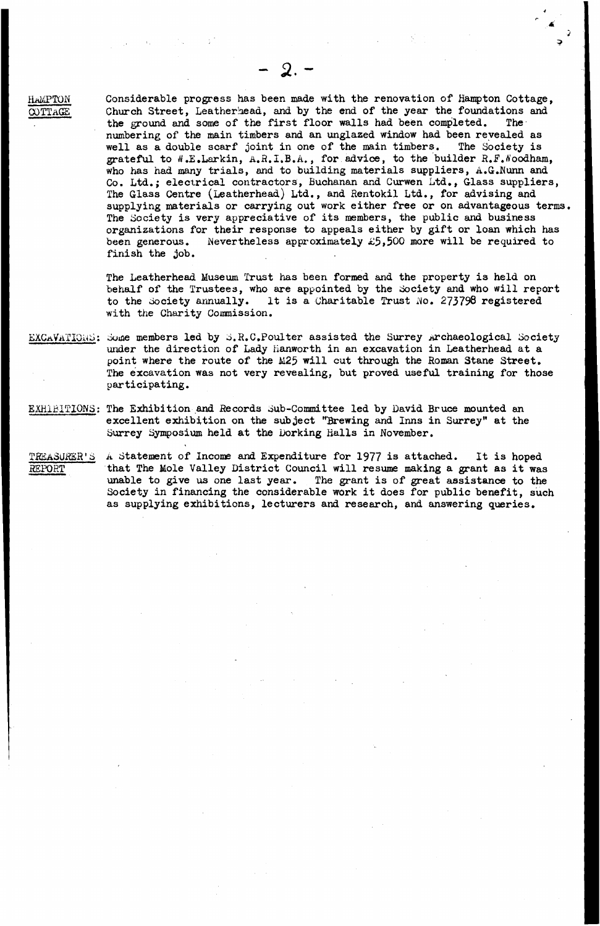**EaMPTQN Considerable progress has been made with the renovation of Hampton Cottage, OOTTAGE** Church Street, Leatherhead, and by the end of the year the foundations and **the ground and some of the first floor walls had been completed. The numbering of the main timbers and an unglazed window had been revealed as well as a double scarf joint in one of the main timbers. The Society is grateful to ^.E.Larkin, a .R.I.B.A., for advice, to the builder R.F.tfoodham, who has had many trials, and to building materials suppliers, A.G.Nunn and Co. Ltd.; electrical contractors, Buchanan and Curwen Ltd., Glass suppliers, The Glass Centre (Leatherhead) Ltd., and Rentokil Ltd., for advising and supplying materials or carrying out work either free or on advantageous terms. The Society is very appreciative of its members, the public and business organizations for their response to appeals either by gift or loan which has been generous. Nevertheless approximately £5>500 more will be required to finish the job.**

**2**

**The Leatherhead Museum Trust has been formed and the property is held on behalf of the Trustees, who are appointed by the Society and who will report to the Society annually. It is a Charitable Trust** *No.* **273798 registered with the Charity Commission.**

**EXCa Va TIGh S : Some members led by S.R.C.Poulter assisted the Surrey Archaeological Society under the direction of Lady fianworth in an excavation in Leatherhead at a point where the route of the M25 will cut through the Roman Stane Street. The excavation was not very revealing, but proved useful training for those participating.**

**EXHIBITIONS: The Exhibition and Records Sub-Committee led by David Bruce mounted an excellent exhibition on the subject "Brewing and Inns in Surrey" at the Surrey Symposium held at the Dorking Halls in November.**

TREASURER'S A Statement of Income and Expenditure for 1977 is attached. It is hoped **REPORT that The Mole Valley District Council will resume making a grant as it was unable to give us one last year. The grant is of great assistance to the Society in financing the considerable work it does for public benefit, such as supplying exhibitions, lecturers and research, and answering queries.**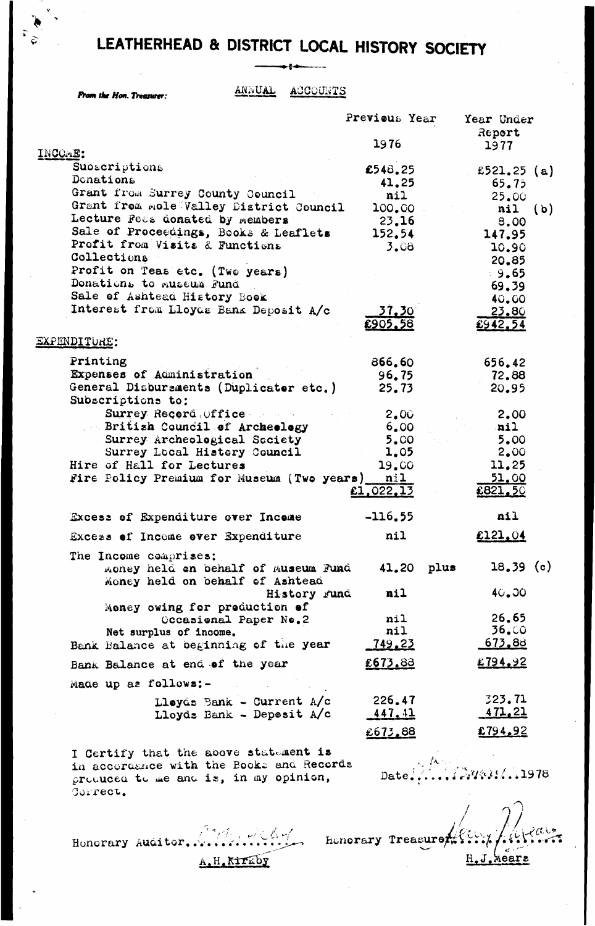*From the Hon. Treasurer:*  $\frac{\text{ANNUAL}}{\text{AUCOUTS}}$ 

|                                                                                                                                                       | Previous Year                                    | Year Under<br>Report                          |
|-------------------------------------------------------------------------------------------------------------------------------------------------------|--------------------------------------------------|-----------------------------------------------|
| INCOME:                                                                                                                                               | 1976                                             | 1977                                          |
| Subscriptions<br>Donations<br>Grant from Surrey County Council                                                                                        | £548.25<br>41.25<br>nil                          | £521.25 (a)<br>65.75                          |
| Grant from mole Valley District Council<br>Lecture Fees donated by Members<br>Sale of Proceedings, Books & Leaflets<br>Profit from Visits & Functions | 100.00<br>23.16<br>152.54<br>3.08                | 25.00<br>$nil$ (b)<br>8,00<br>147.95<br>10.90 |
| Collections<br>Profit on Teas etc. (Two years)<br>Donations to museum Fund<br>Sale of Ashtead History Book<br>Interest from Lloyds Bank Deposit A/c   | 37.30°                                           | 20.85<br>9.65<br>69.39<br><b>40.00</b>        |
|                                                                                                                                                       | £905.58                                          | 23.80<br>£942.54                              |
| EXPENDITURE:                                                                                                                                          |                                                  |                                               |
| Printing<br>Expenses of Administration<br>General Disbursments (Duplicator etc.)<br>Subscriptions to:                                                 | 866.60<br>96.75<br>25.73                         | 656.42<br>72.88<br>20.95                      |
| Surrey Record Office<br>British Council of Archeology<br>$\sim 100$ km s $^{-1}$<br>Surrey Archeological Seciety<br>Surrey Local History Council      | 2.00 <sub>1</sub><br>6.00<br><b>5.CO</b><br>1.05 | 2.00<br>nil<br>5.00<br>2.00                   |
| Hire of Hall for Lectures<br>Fire Policy Premium for Museum (Two years) nil                                                                           | 19.00<br>£1,022.13                               | 11.25<br>51.00<br>£821.50                     |
| Excess of Expenditure over Income                                                                                                                     | $-116,55$                                        | nil                                           |
| Excess of Income over Expenditure                                                                                                                     | nil                                              | £121.04                                       |
| The Income comprises:<br>money held on behalf of Museum Fund<br>Money held on behalf of Ashtead                                                       | 41.20 plus                                       | $18,39$ (c)                                   |
| History Fund<br>Money owing for preduction of<br>Occasional Paper Ne.2                                                                                | nil<br>nil                                       | 40.00<br>26.65                                |
| Net surplus of income.                                                                                                                                | nil                                              | 36.00                                         |
| Bank Balance at beginning of the year                                                                                                                 | <u>749.23</u>                                    | <u>673.88</u>                                 |
| Bank Balance at end of the year                                                                                                                       | £673.88                                          | £794.92                                       |
| Made up as follows:-                                                                                                                                  |                                                  |                                               |
| Lleyds Bank - Current A/c<br>Lloyd: Bank - Deposit $A/c$                                                                                              | 226.47<br><u>447.41</u>                          | 323.71<br><u>471.21</u>                       |
|                                                                                                                                                       | £673.88                                          | £794.92                                       |
| I Certify that the above statement is                                                                                                                 |                                                  |                                               |

**I Certify that the above statement is in accorcujice with the Eook~ ana Records** produced to me and is, in my opinion, **Correct. Date.' 'Vv&F.\* • \*1978**

**Honorary Auditor,..-**  $A$ **, H**, Kirkby

*<i>A*  $\frac{1}{2}$  **A**  $\frac{1}{2}$  **A**  $\frac{1}{2}$  **A**  $\frac{1}{2}$  *Reasure the set of*  $\frac{1}{2}$  *.*  $\frac{1}{2}$  *.*  $\frac{1}{2}$  *.*  $\frac{1}{2}$  *.*  $\frac{1}{2}$  *.*  $\frac{1}{2}$  *.*  $\frac{1}{2}$  *.*  $\frac{1}{2}$  *.*  $\frac{1}{2}$  *.*  $\frac{1}{2}$  *.*  $\frac{1}{2}$  *.*  $\frac{1}{2}$ / *j* **/' < , s ■** *. / C'.* **H.J.kears**

**/**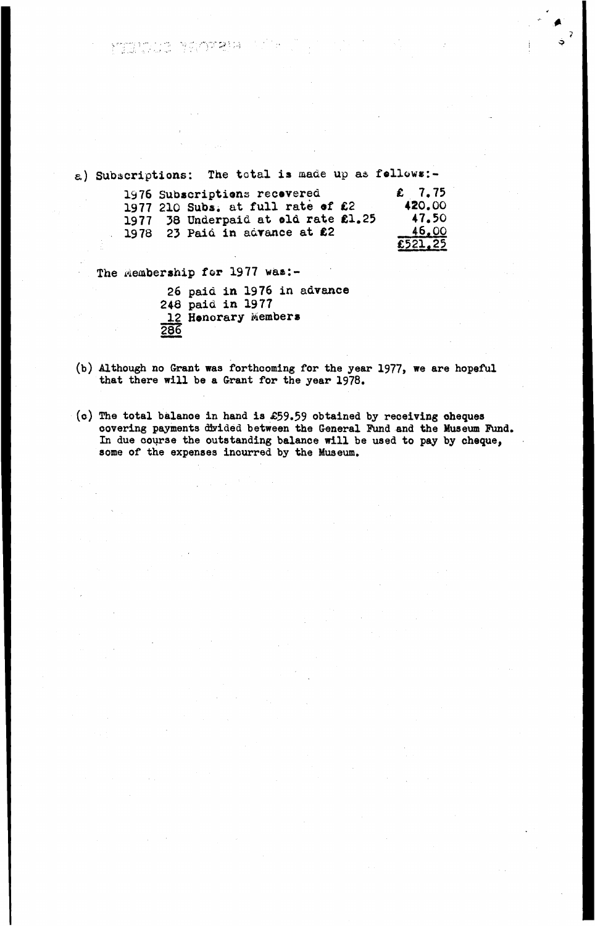a) Subscriptions: The total is made up as follows:-

| 1976 Subscriptions recovered        | $\epsilon$ 7.75 |
|-------------------------------------|-----------------|
| 1977 210 Subs. at full rate of £2   | 420.00          |
| 1977 38 Underpaid at old rate £1.25 | 47.50           |
| 1978 23 Paid in advance at £2       | 46.00           |
|                                     | £521.25         |

The Membership for 1977 was:-

manto provene di

**26 paid in 1976 in advance 248 paid in 1977 12 Honorary Member\* 286**

- (b) Although no Grant was forthcoming for the year 1977, we are hopeful **that there will be a Grant for the year 1978.**
- **(c) The total balanoe in hand is £59.59 obtained by receiving oheques** covering payments divided between the General Fund and the Museum Fund. **In due course the outstanding balance will be used to pay by cheque, some of the expenses incurred by the Museum.**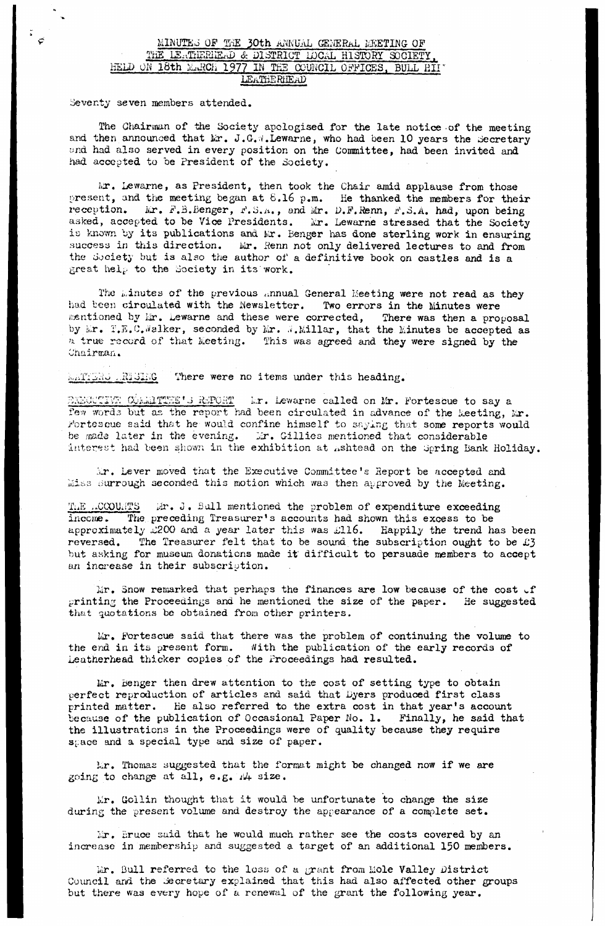## **MINUTES OF THE 30th ANNUAL GENERAL MEETING OF THE LS.tTriEBIfflriD & DISTRICT 1DCAL HISTORY SOCIETY. HELD OK 18th M^vRCh 1977 Hi THE COUlvCIL OFFICES, BULL HIT LEATHERilEAU**

**Seventy seven members attended.**

 $\ddot{\cdot}$ 

**The Chairman of the Society apologised for the late notice of the meeting** and then announced that Mr. J.G.W.Lewarne, who had been 10 years the Secretary **wnd had also served in every position on the Committee, had been invited and had accepted to be President of the Society.**

**Mr. Lewarne, as President, then took the Chair amid applause from those present, and the meeting began at 6.16 p.m. He thanked the nembers for their reception\* Mr. F.B.Benger, F.S.a. , and** *M r,* **D.F.Renn, F.S.A. had, upon being asked, accepted to be Vice Presidents. Mr. Lewarne stressed that the Society** is known by its publications and Mr. Benger has done sterling work in ensuring success in this direction. Mr. Renn not only delivered lectures to and from **the Society but is also the author of a definitive book on castles and is a great hel^.- to the Society in its work.**

The Minutes of the previous annual General Meeting were not read as they **had been circulated with the Newsletter. Two errors in the Minutes were** mentioned by Mr. Lewarne and these were corrected, There was then a proposal by Mr. T.E.C.Walker, seconded by Mr. W.Millar, that the Minutes be accepted as *'x* **true record of that Meeting. This was agreed and they were signed by the** Chairman.

**There were no items under this heading.** 

BABICCIVE COMMITTEE'S REPORT Mr. Lewarne called on Mr. Fortescue to say a few words but as the report had been circulated in advance of the keeting, Mr. **Fortescue said that he would confine himself to saying that some reports would** be made later in the evening. Ir. Gillies mentioned that considerable interest had been shown in the exhibition at Ashtead on the Spring Bank Holiday.

**Mr. Lever moved that the Executive Committee's Report be accepted and** *ai&s* **durrough seconded this motion which was then approved by the Meeting.**

The *CCOUWTS* if . J. Bull mentioned the problem of expenditure exceeding **income. The preceding Treasurer's accounts had shown this excess to be approximately ^200 and a year later this was iJll6. Happily the trend has been reversed. The Treasurer felt that to be sound the subscription ought to be £3 but asking for museum donations made it difficult to persuade members to accept an increase in their subscription.**

Mr. Snow remarked that perhaps the finances are low because of the cost of **printing the Proceedings and he mentioned the size of the paper. He suggested that quotations be obtained from other printers.**

**Mr. Fortescue said that there was the problem of continuing the volume to the end in its present form. With the publication of the early records of Leatherhead thicker copies of the Proceedings had resulted.**

**Mr. benger then drew attention to the cost of setting type to obtain perfect reproduction of articles and said that Dyers produoed first class printed matter. He also referred to the extra cost in that year's account because of the publication of Occasional Paper Wo. 1. Finally, he said that the illustrations in the Proceedings were of quality because they require** space and a special type and size of paper.

**Mr. Thomas suggested that the format might be changed now if we are going to change at all, e.g. ;i4 size.**

**Mr. Gollin thought that it would be unfortunate to change the size during the present volume and destroy the appearance of a complete set.**

**Mr. Bruce said that he would much rather see the costs covered by an increase in membership and suggested a target of an additional 150 members.**

**Mr. Bull referred to the loss of a grant from Mole Valley District Council and the Secretary explained that this had also affected other groups but there was every hope of a renewal of the grant the following year.**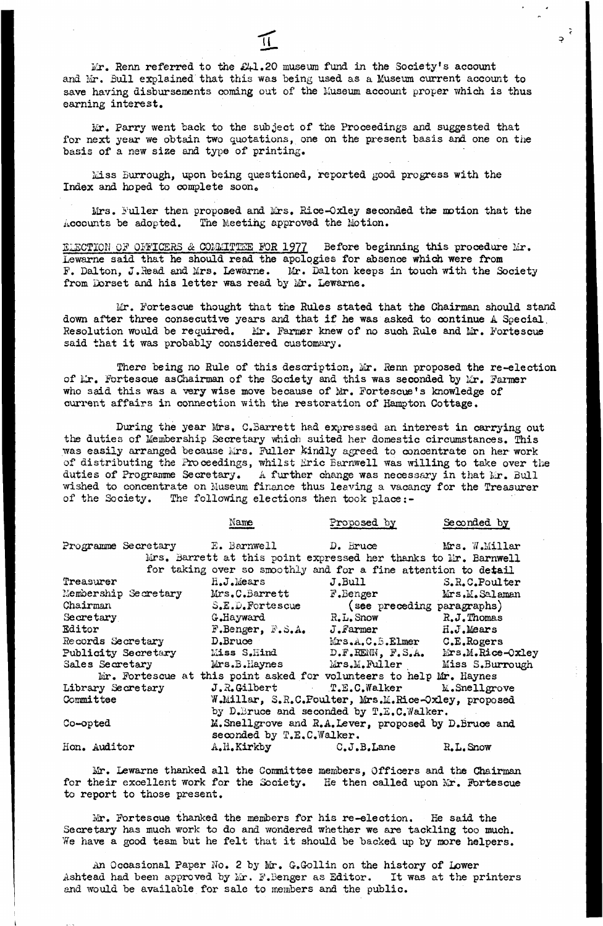**Mr. Renn referred to the £41.20 museum fund in the Society's account and Mr. Bull explained that this was being used as a Museum current account to** save having disbursements coming out of the Museum account proper which is thus **earning interest.**

 $\frac{1}{2}$ 

**Mr. Parry went back to the subject of the Proceedings and suggested that for next year we obtain two quotations, one on the present basis and one on the basis of a new size and type of printing.**

**Miss Burrough, upon being questioned, reported good progress with the** Index and hoped to complete soon.

**Mrs. Fuller then proposed and Mrs. Eice-Oxley seconded the motion that the** Accounts be adopted. The Meeting approved the Motion.

**ELECTION' 0? OFFICERS** *&* **COMMITTEE FOR 1977 Before beginning this procedure Mr. Lewarne said that he should read the apologies for absence which were from F. Dalton, J.Head and Mrs. Lewarne. Mr. Dalton keeps in touch with the Society from Dorset and his letter was read by Mr. Lewarne.**

**Mr. Fortescue thought that the Rules stated that the Chairman should stand down after three consecutive years and that if he was asked to continue A Special.** Resolution would be required. Mr. Farmer knew of no such Rule and Mr. Fortescue **said that it was probably considered customary.**

**There being no Rule of this description, Mr. Renn proposed the re-election** of Mr. Fortescue asChairman of the Society and this was seconded by Mr. Farmer **who said this was a very wise move because of Mr. Fortescue's knowledge of current affairs in connection with the restoration of Hampton Cottage.**

**During the year Mrs. C.Barrett had expressed an interest in carrying out the duties of Membership Secretary which suited her domestic circumstances. This was easily arranged because Mrs. Fuller kindly agreed to concentrate on her work of distributing the Proceedings, whilst Eric Barnwell was willing to take over the duties of Programme Secretary. A further change was necessary in that Mr. Bull wished to concentrate on Museum finance thus leaving a vacancy for the Treasurer of the Society. The following elections then took place**

|                                                                   | Name                        | Proposed by                                                         | Seconded by |
|-------------------------------------------------------------------|-----------------------------|---------------------------------------------------------------------|-------------|
| Programme Secretary 1 = Barnwell 1 = D. Bruce 1 = Mrs. W.Millar   |                             |                                                                     |             |
|                                                                   |                             | Mrs. Barrett at this point expressed her thanks to Mr. Barnwell     |             |
|                                                                   |                             | for taking over so smoothly and for a fine attention to detail      |             |
| Treasurer                                                         | $H_\bullet J_\bullet$ Mears | J.Bull S.R.C.Poulter                                                |             |
| Membership Secretary Mrs.C.Barrett F.Benger Mrs.M.Salaman         |                             |                                                                     |             |
| Chairman                                                          |                             | S.E.D.Fortescue (see preceding paragraphs)                          |             |
| Secretary                                                         |                             | G.Hayward R.L.Snow R.J.Thomas                                       |             |
| Editor                                                            |                             | $F.$ Benger, $F.S.A.$ J. Farmer $H.J.Mears$                         |             |
| Records Secretary D.Bruce                                         |                             | Mrs.A.C.B.Elmer C.E.Rogers                                          |             |
| Publicity Secretary Miss S.Hind D.F.RENN, F.S.A. Mrs.M.Rice-Oxley |                             |                                                                     |             |
| Sales Secretary                                                   |                             | Mrs. B. Haynes Mrs. M. Fuller Miss S. Burrough                      |             |
|                                                                   |                             | Mr. Fortescue at this point asked for volunteers to help Mr. Haynes |             |
| Library Secretary                                                 |                             | J.R.Gilbert T.E.C.Walker M.Snellgrove                               |             |
| Committee<br>and the control of the control of                    |                             | W.Millar, S.R.C.Poulter, Mrs.M.Rice-Oxley, proposed                 |             |
|                                                                   |                             | by D.Bruce and seconded by T.E.C.Walker.                            |             |
| Co-opted                                                          |                             | M. Snellgrove and R.A. Lever, proposed by D. Bruce and              |             |
|                                                                   | seconded by T.E.C.Walker.   |                                                                     |             |
| Hon. Auditor                                                      |                             | A.H.Kirkby C.J.B.Lane                                               | R.L. Snow   |

**Mr. Lewarne thanked all the Committee members, Officers and the Chairman for their excellent work for the Society. He then called upon Mr. Fortescue to report to those present.**

**Ivir. Fortescue thanked the members for his re-election. Ee said the Secretary has much work to do and wondered whether we are tackling too much. We have a good team but he felt that it should be backed up by more helpers.**

**An Occasional paper No. 2 by Mr. G.Gollin on the history of Lower Ashtead had been approved by Mr. F.Benger as Editor. It was at the printers and would be available for sale to members and the public.**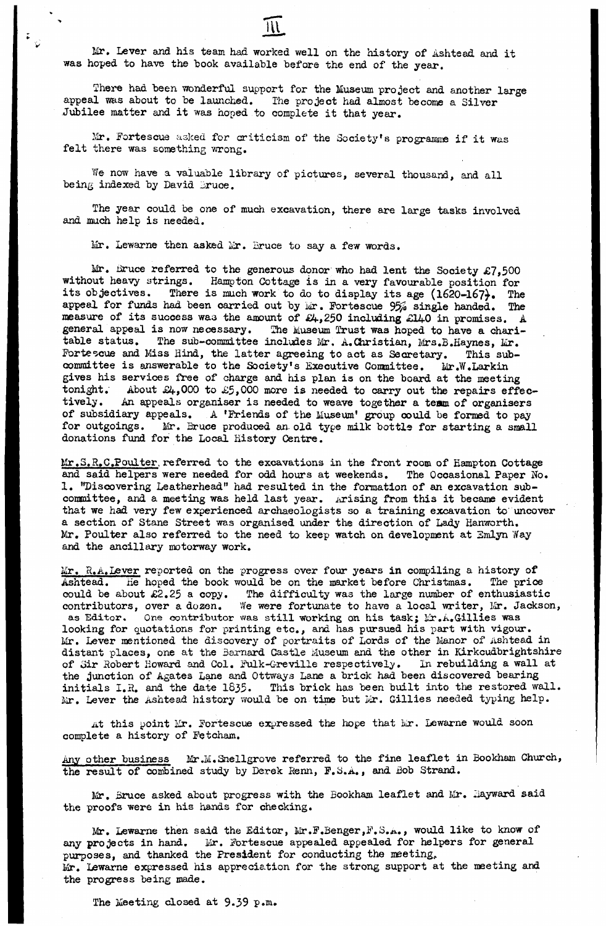**Mr. Lever and his team had worked well on the history of Ashtead and it was hoped to have the book available before the end of the year.**

**There had been wonderful support for the Museum project and another large** appeal was about to be launched. The project had almost become a Silver **Jubilee matter and it was hoped to complete it that year.**

**Mr. Fortescue asked for criticism of the Society's programing if it was felt there was something wrong.**

**We now have a valuable library of pictures, several thousand, and all being indexed by David \_ruce.**

**The year could be one of much excavation, there are large tasks involved and much help is needed.**

**Mr. Lewarne then asked iir. Bruce to say a few words.**

 $\ddot{\bullet}$ 

**Mr. iiruce referred to the generous donor who had lent the Society £7,500 without heavy strings. Hampton Cottage is in a very favourable position for** its objectives. There is much work to do to display its age (1620-167). The appeal for funds had been carried out by Mr. Fortescue 95% single handed. The **measure of its success wa3 the amount of £4,250 including £140 in promises. A general appeal is now necessary. The Museum Trust was hoped to have a chari**table status. The sub-committee includes Mr. A.Christian, Mrs.B.Haynes, Mr. Fortescue and Miss Hind, the latter agreeing to act as Secretary. This subcommittee is answerable to the Society's Executive Committee. Mr.W.Larkin **gives his services free of charge and his plan is on the board at the meeting** tonight. About £4,000 to £5,000 more is needed to carry out the repairs effectively. An appeals organiser is needed to weave together a term of organisers An appeals organiser is needed to weave together a team of organisers **of subsidiary appeals. A 'Friends of the Museum' group could be formed to pay** for outgoings. Mr. Bruce produced an old type milk bottle for starting a small **donations fund for the Local History Centre.**

Mr. S.R.C.Poulter referred to the excavations in the front room of Hampton Cottage **and said helpers were needed for odd hours at weekends. The Occasional Paper No. 1. "Discovering Leatherhead" had resulted in the formation of an excavation sub**committee, and a meeting was held last year. Arising from this it became evident **that we had very few experienced archaeologists so a training excavation to uncover a section of Stane Street was organised under the direction of Lady Kanworth. Mr. Poul ter also referred to the need to keep watch on development at Smlyn Way and the ancillary motorway work.**

**Mr. R.A.Lever reported on the progress over four years in compiling a history of Ashtead. He hoped the book would be on the market before Christmas. The price could be about £2.25 a copy. The difficulty was the large number of enthusiastic contributors, over a dozen. We were fortunate to have a local writer, Kir. Jackson,** as Editor. One contributor was still working on his task; *Ix.A.Gillies* was **looking for quotations for printing etc., and has pursued his part with vigour. Mr. Lever mentioned the discovery of portraits of Lords of the Manor of Ashtead in distant places, one at the Barnard Castle Museum and the other in Kirkcudbrightshire of oir Sobert Howard and Col. Fulk-G-reville respectively. In rebuilding a wall at the junction of Agates Lane and Ottways Lane a brick had been discovered bearing initials 1.2. and the date 1835. This brick has been built into the restored wall. Mr. Lever the Ashtead history would be on time but >ir. Gillies needed typing help.**

At this point Mr. Fortescue expressed the hope that Mr. Lewarne would soon **complete a history of Fetcham.**

Any other business Mr.M.Snellgrove referred to the fine leaflet in Bookham Church, **the result of combined study by Derek Renn, F.S.A., and Bob Strand.**

**Mr. Bruce asked about progress with the Bookham leaflet and Mr. Hayward said the proofs were in his hands for checking.**

Mr. Lewarne then said the Editor, Mr.F.Benger, F.S.A., would like to know of **any projects in hand. Mr. Fortescue appealed appealed for helpers for general purposes, and thanked the President for conducting the meeting, Mr. Lewarne expressed his appreciation for the strong support at the meeting and the progress being made.**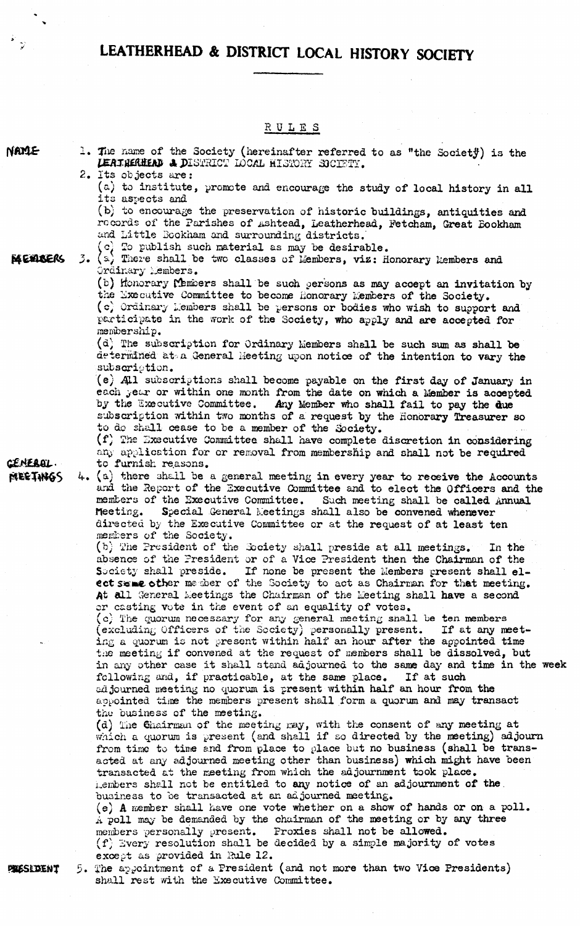|                 | <u>RULES</u>                                                                                                                                                                                                                                                                                                                                                                               |
|-----------------|--------------------------------------------------------------------------------------------------------------------------------------------------------------------------------------------------------------------------------------------------------------------------------------------------------------------------------------------------------------------------------------------|
| NAMLE           | 1. The name of the Society (hereinafter referred to as "the Society) is the<br>LEATHERHEAD & DISTRICT LOCAL HISTORY SOCIETY.                                                                                                                                                                                                                                                               |
|                 | 2. Its objects are:<br>(a) to institute, promote and encourage the study of local history in all<br>its aspects and                                                                                                                                                                                                                                                                        |
|                 | (b) to encourage the preservation of historic buildings, antiquities and<br>records of the Parishes of Ashtead, Leatherhead, Fetcham, Great Bookham<br>and Little Bookham and surrounding districts.<br>(c) To publish such material as may be desirable.                                                                                                                                  |
| MEMBERS         | 3. $(a)$ There shall be two classes of Members, viz: Honorary Members and<br>Ordinary Members.                                                                                                                                                                                                                                                                                             |
|                 | (b) Honorary Members shall be such persons as may accept an invitation by<br>the Executive Committee to become Honorary Members of the Society.<br>(c) Ordinary Members shall be persons or bodies who wish to support and<br>participate in the work of the Society, who apply and are accepted for<br>membership.                                                                        |
|                 | (d) The subscription for Ordinary Members shall be such sum as shall be<br>determined at a General Meeting upon notice of the intention to vary the<br>subscription.                                                                                                                                                                                                                       |
|                 | (e) All subscriptions shall become payable on the first day of January in<br>each year or within one month from the date on which a Member is accepted<br>by the Executive Committee. Any Member who shall fail to pay the due<br>subscription within two months of a request by the Honorary Treasurer so<br>to do shall cease to be a member of the Society.                             |
| <b>CENERAL.</b> | (f) The Executive Committee shall have complete discretion in considering<br>any application for or removal from membership and shall not be required<br>to furnish reasons.                                                                                                                                                                                                               |
| MEETHIGS        | $4. (a)$ there shall be a general meeting in every year to receive the Accounts<br>and the Report of the Executive Committee and to elect the Officers and the<br>members of the Executive Committee. Such meeting shall be called Annual<br>Special General Meetings shall also be convened whenever<br>Meeting.<br>directed by the Executive Committee or at the request of at least ten |
|                 | members of the Society.<br>(b) The President of the Society shall preside at all meetings.<br>In the<br>absence of the President or of a Vice President then the Chairman of the                                                                                                                                                                                                           |
|                 | Society shall preside. If none be present the Members present shall el-<br>ect same other member of the Society to act as Chairman for that meeting.                                                                                                                                                                                                                                       |
|                 | At all General Meetings the Chairman of the Meeting shall have a second<br>or casting vote in the event of an equality of votes.<br>(c) The quorum necessary for any general meeting shall be ten members                                                                                                                                                                                  |
|                 | (excluding Officers of the Society) personally present. If at any meet-<br>ing a quorum is not present within half an hour after the appointed time<br>the meeting if convened at the request of members shall be dissolved, but                                                                                                                                                           |
|                 | in any other case it shall stand adjourned to the same day and time in the week<br>following and, if practicable, at the same place. If at such<br>adjourned meeting no quorum is present within half an hour from the<br>appointed time the members present shall form a quorum and may transact                                                                                          |
|                 | the business of the meeting.<br>(d) The Chairman of the meeting may, with the consent of any meeting at<br>which a quorum is present (and shall if so directed by the meeting) adjourn<br>from time to time and from place to place but no business (shall be trans-                                                                                                                       |
|                 | acted at any adjourned meeting other than business) which might have been<br>transacted at the meeting from which the adjournment took place.<br>hembers shall not be entitled to any notice of an adjournment of the.                                                                                                                                                                     |
|                 | business to be transacted at an adjourned meeting.<br>(e) A member shall have one vote whether on a show of hands or on a poll.<br>A poll may be demanded by the chairman of the meeting or by any three<br>members personally present. Proxies shall not be allowed.                                                                                                                      |
| PRESEDENT       | $(f)$ Every resolution shall be decided by a simple majority of votes<br>except as provided in Rule 12.<br>5. The appointment of a President (and not more than two Vice Presidents)                                                                                                                                                                                                       |
|                 |                                                                                                                                                                                                                                                                                                                                                                                            |

 $\mathbb{R}$ 

 $\frac{1}{2}$ 

**shall rest with the Executive Committee.**